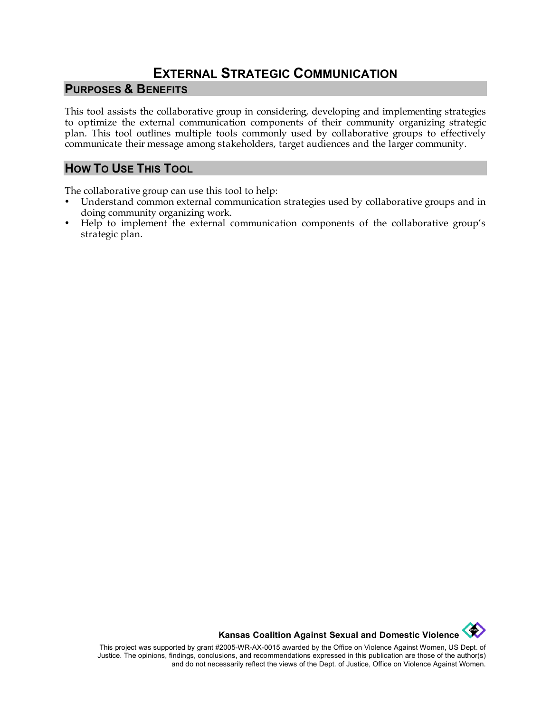# **EXTERNAL STRATEGIC COMMUNICATION**

#### **PURPOSES & BENEFITS**

This tool assists the collaborative group in considering, developing and implementing strategies to optimize the external communication components of their community organizing strategic plan. This tool outlines multiple tools commonly used by collaborative groups to effectively communicate their message among stakeholders, target audiences and the larger community.

#### **HOW TO USE THIS TOOL**

The collaborative group can use this tool to help:

- Understand common external communication strategies used by collaborative groups and in doing community organizing work.
- Help to implement the external communication components of the collaborative group's strategic plan.

**Kansas Coalition Against Sexual and Domestic Violence** 

This project was supported by grant #2005-WR-AX-0015 awarded by the Office on Violence Against Women, US Dept. of Justice. The opinions, findings, conclusions, and recommendations expressed in this publication are those of the author(s) and do not necessarily reflect the views of the Dept. of Justice, Office on Violence Against Women.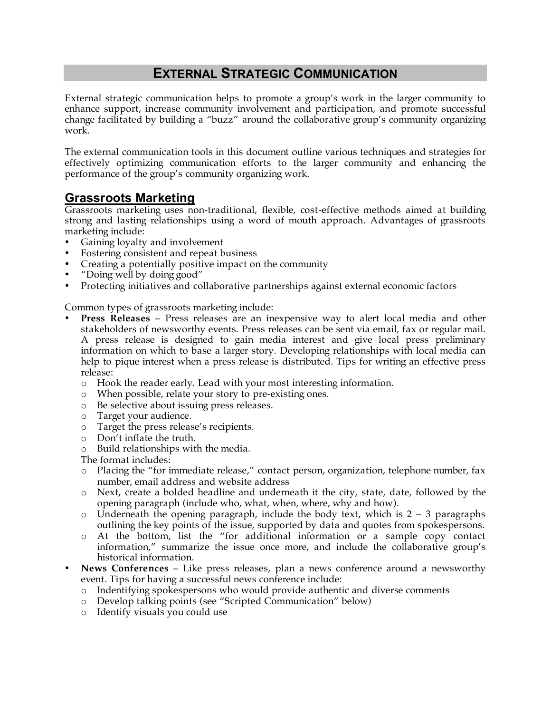# **EXTERNAL STRATEGIC COMMUNICATION**

External strategic communication helps to promote a group's work in the larger community to enhance support, increase community involvement and participation, and promote successful change facilitated by building a "buzz" around the collaborative group's community organizing work.

The external communication tools in this document outline various techniques and strategies for effectively optimizing communication efforts to the larger community and enhancing the performance of the group's community organizing work.

### **Grassroots Marketing**

Grassroots marketing uses non-traditional, flexible, cost-effective methods aimed at building strong and lasting relationships using a word of mouth approach. Advantages of grassroots marketing include:

- Gaining loyalty and involvement
- Fostering consistent and repeat business
- Creating a potentially positive impact on the community
- "Doing well by doing good"
- Protecting initiatives and collaborative partnerships against external economic factors

Common types of grassroots marketing include:

- **Press Releases** Press releases are an inexpensive way to alert local media and other stakeholders of newsworthy events. Press releases can be sent via email, fax or regular mail. A press release is designed to gain media interest and give local press preliminary information on which to base a larger story. Developing relationships with local media can help to pique interest when a press release is distributed. Tips for writing an effective press release:
	- o Hook the reader early. Lead with your most interesting information.
	- o When possible, relate your story to pre-existing ones.
	- o Be selective about issuing press releases.
	- o Target your audience.
	- o Target the press release's recipients.
	- o Don't inflate the truth.
	- o Build relationships with the media.

The format includes:

- o Placing the "for immediate release," contact person, organization, telephone number, fax number, email address and website address
- o Next, create a bolded headline and underneath it the city, state, date, followed by the opening paragraph (include who, what, when, where, why and how).
- $\circ$  Underneath the opening paragraph, include the body text, which is 2 3 paragraphs outlining the key points of the issue, supported by data and quotes from spokespersons.
- o At the bottom, list the "for additional information or a sample copy contact information," summarize the issue once more, and include the collaborative group's historical information.
- **News Conferences** Like press releases, plan a news conference around a newsworthy event. Tips for having a successful news conference include:
	- o Indentifying spokespersons who would provide authentic and diverse comments
	- o Develop talking points (see "Scripted Communication" below)
	- o Identify visuals you could use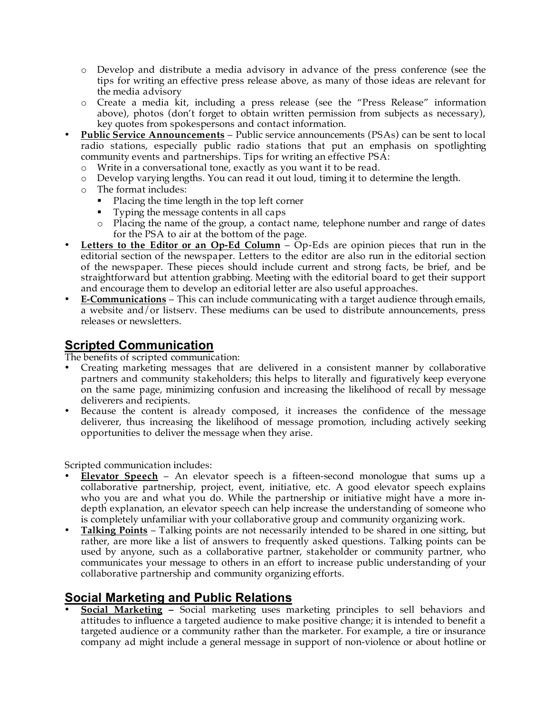- o Develop and distribute a media advisory in advance of the press conference (see the tips for writing an effective press release above, as many of those ideas are relevant for the media advisory
- o Create a media kit, including a press release (see the "Press Release" information above), photos (don't forget to obtain written permission from subjects as necessary), key quotes from spokespersons and contact information.
- **Public Service Announcements** Public service announcements (PSAs) can be sent to local radio stations, especially public radio stations that put an emphasis on spotlighting community events and partnerships. Tips for writing an effective PSA:
	- o Write in a conversational tone, exactly as you want it to be read.
	- o Develop varying lengths. You can read it out loud, timing it to determine the length.
	- o The format includes:
		- Placing the time length in the top left corner
		- Typing the message contents in all caps
		- o Placing the name of the group, a contact name, telephone number and range of dates for the PSA to air at the bottom of the page.
- **Letters to the Editor or an Op-Ed Column** Op-Eds are opinion pieces that run in the editorial section of the newspaper. Letters to the editor are also run in the editorial section of the newspaper. These pieces should include current and strong facts, be brief, and be straightforward but attention grabbing. Meeting with the editorial board to get their support and encourage them to develop an editorial letter are also useful approaches.
- **E-Communications** This can include communicating with a target audience through emails, a website and/or listserv. These mediums can be used to distribute announcements, press releases or newsletters.

## **Scripted Communication**

The benefits of scripted communication:

- Creating marketing messages that are delivered in a consistent manner by collaborative partners and community stakeholders; this helps to literally and figuratively keep everyone on the same page, minimizing confusion and increasing the likelihood of recall by message deliverers and recipients.
- Because the content is already composed, it increases the confidence of the message deliverer, thus increasing the likelihood of message promotion, including actively seeking opportunities to deliver the message when they arise.

Scripted communication includes:

- **Elevator Speech** An elevator speech is a fifteen-second monologue that sums up a collaborative partnership, project, event, initiative, etc. A good elevator speech explains who you are and what you do. While the partnership or initiative might have a more indepth explanation, an elevator speech can help increase the understanding of someone who is completely unfamiliar with your collaborative group and community organizing work.
- **Talking Points** Talking points are not necessarily intended to be shared in one sitting, but rather, are more like a list of answers to frequently asked questions. Talking points can be used by anyone, such as a collaborative partner, stakeholder or community partner, who communicates your message to others in an effort to increase public understanding of your collaborative partnership and community organizing efforts.

## **Social Marketing and Public Relations**

• **Social Marketing –** Social marketing uses marketing principles to sell behaviors and attitudes to influence a targeted audience to make positive change; it is intended to benefit a targeted audience or a community rather than the marketer. For example, a tire or insurance company ad might include a general message in support of non-violence or about hotline or